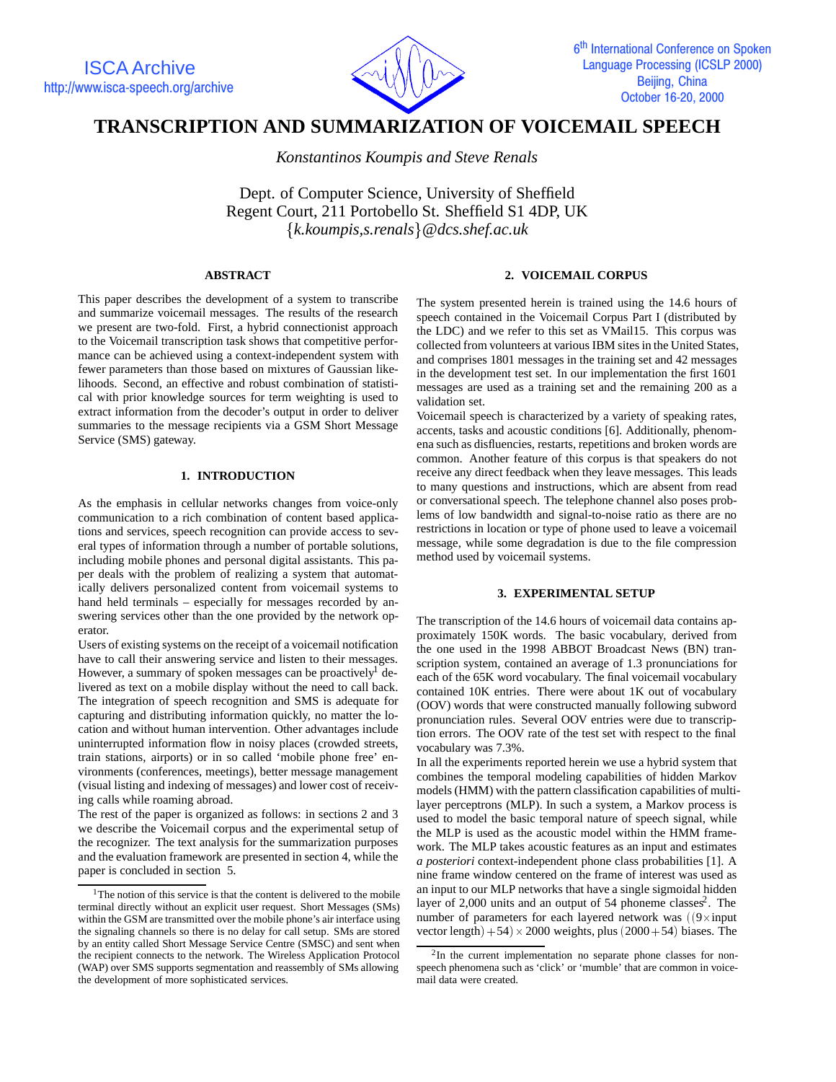

# **TRANSCRIPTION AND SUMMARIZATION OF VOICEMAIL SPEECH**

*Konstantinos Koumpis and Steve Renals*

Dept. of Computer Science, University of Sheffield Regent Court, 211 Portobello St. Sheffield S1 4DP, UK f*k.koumpis,s.renals*g*@dcs.shef.ac.uk*

# **ABSTRACT**

This paper describes the development of a system to transcribe and summarize voicemail messages. The results of the research we present are two-fold. First, a hybrid connectionist approach to the Voicemail transcription task shows that competitive performance can be achieved using a context-independent system with fewer parameters than those based on mixtures of Gaussian likelihoods. Second, an effective and robust combination of statistical with prior knowledge sources for term weighting is used to extract information from the decoder's output in order to deliver summaries to the message recipients via a GSM Short Message Service (SMS) gateway.

# **1. INTRODUCTION**

As the emphasis in cellular networks changes from voice-only communication to a rich combination of content based applications and services, speech recognition can provide access to several types of information through a number of portable solutions, including mobile phones and personal digital assistants. This paper deals with the problem of realizing a system that automatically delivers personalized content from voicemail systems to hand held terminals – especially for messages recorded by answering services other than the one provided by the network operator.

Users of existing systems on the receipt of a voicemail notification have to call their answering service and listen to their messages. However, a summary of spoken messages can be proactively  $de$ livered as text on a mobile display without the need to call back. The integration of speech recognition and SMS is adequate for capturing and distributing information quickly, no matter the location and without human intervention. Other advantages include uninterrupted information flow in noisy places (crowded streets, train stations, airports) or in so called 'mobile phone free' environments (conferences, meetings), better message management (visual listing and indexing of messages) and lower cost of receiving calls while roaming abroad.

The rest of the paper is organized as follows: in sections 2 and 3 we describe the Voicemail corpus and the experimental setup of the recognizer. The text analysis for the summarization purposes and the evaluation framework are presented in section 4, while the paper is concluded in section 5.

## **2. VOICEMAIL CORPUS**

The system presented herein is trained using the 14.6 hours of speech contained in the Voicemail Corpus Part I (distributed by the LDC) and we refer to this set as VMail15. This corpus was collected from volunteers at various IBM sites in the United States, and comprises 1801 messages in the training set and 42 messages in the development test set. In our implementation the first 1601 messages are used as a training set and the remaining 200 as a validation set.

Voicemail speech is characterized by a variety of speaking rates, accents, tasks and acoustic conditions [6]. Additionally, phenomena such as disfluencies, restarts, repetitions and broken words are common. Another feature of this corpus is that speakers do not receive any direct feedback when they leave messages. This leads to many questions and instructions, which are absent from read or conversational speech. The telephone channel also poses problems of low bandwidth and signal-to-noise ratio as there are no restrictions in location or type of phone used to leave a voicemail message, while some degradation is due to the file compression method used by voicemail systems.

# **3. EXPERIMENTAL SETUP**

The transcription of the 14.6 hours of voicemail data contains approximately 150K words. The basic vocabulary, derived from the one used in the 1998 ABBOT Broadcast News (BN) transcription system, contained an average of 1.3 pronunciations for each of the 65K word vocabulary. The final voicemail vocabulary contained 10K entries. There were about 1K out of vocabulary (OOV) words that were constructed manually following subword pronunciation rules. Several OOV entries were due to transcription errors. The OOV rate of the test set with respect to the final vocabulary was 7.3%.

In all the experiments reported herein we use a hybrid system that combines the temporal modeling capabilities of hidden Markov models (HMM) with the pattern classification capabilities of multilayer perceptrons (MLP). In such a system, a Markov process is used to model the basic temporal nature of speech signal, while the MLP is used as the acoustic model within the HMM framework. The MLP takes acoustic features as an input and estimates *a posteriori* context-independent phone class probabilities [1]. A nine frame window centered on the frame of interest was used as an input to our MLP networks that have a single sigmoidal hidden layer of  $2,000$  units and an output of 54 phoneme classes<sup>2</sup>. The number of parameters for each layered network was  $(9 \times input)$ vector length $+54 \times 2000$  weights, plus  $(2000+54)$  biases. The

<sup>&</sup>lt;sup>1</sup>The notion of this service is that the content is delivered to the mobile terminal directly without an explicit user request. Short Messages (SMs) within the GSM are transmitted over the mobile phone's air interface using the signaling channels so there is no delay for call setup. SMs are stored by an entity called Short Message Service Centre (SMSC) and sent when the recipient connects to the network. The Wireless Application Protocol (WAP) over SMS supports segmentation and reassembly of SMs allowing the development of more sophisticated services.

<sup>2</sup>In the current implementation no separate phone classes for nonspeech phenomena such as 'click' or 'mumble' that are common in voicemail data were created.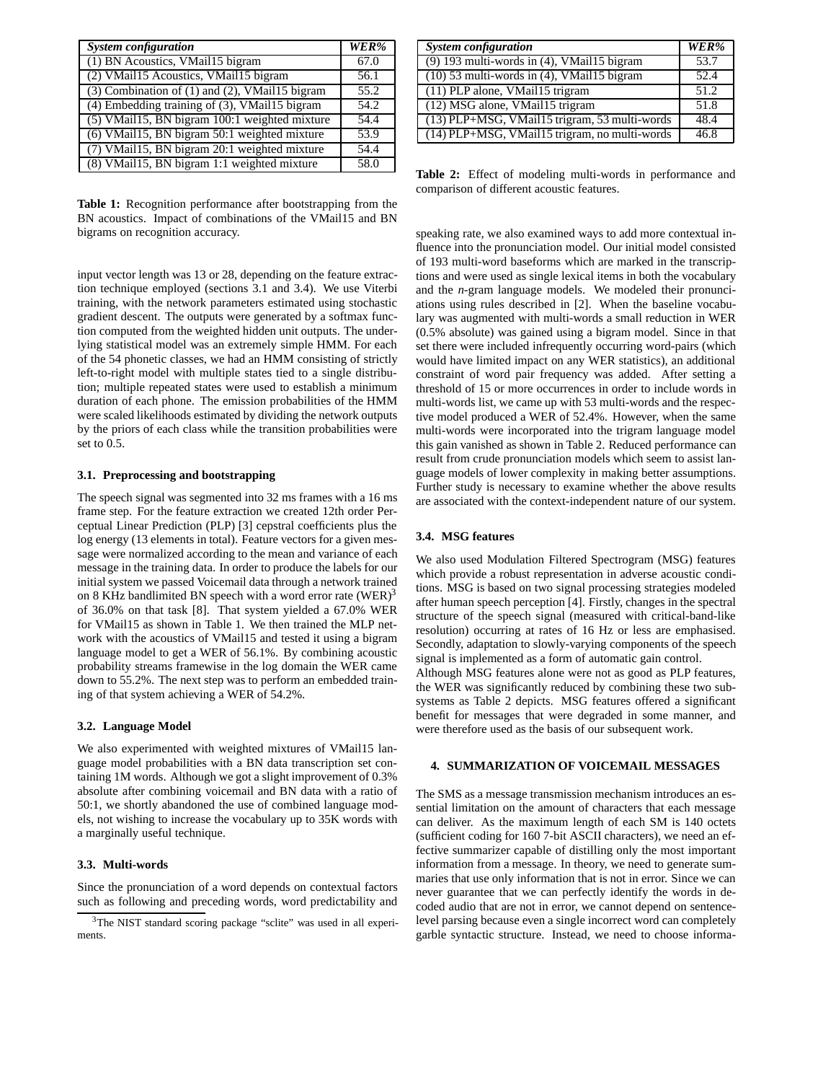| <b>System configuration</b>                           | WER% |
|-------------------------------------------------------|------|
| (1) BN Acoustics, VMail15 bigram                      | 67.0 |
| (2) VMail15 Acoustics, VMail15 bigram                 | 56.1 |
| $(3)$ Combination of $(1)$ and $(2)$ , VMail15 bigram | 55.2 |
| (4) Embedding training of (3), VMail15 bigram         | 54.2 |
| (5) VMail15, BN bigram 100:1 weighted mixture         | 54.4 |
| (6) VMail15, BN bigram 50:1 weighted mixture          | 53.9 |
| (7) VMail15, BN bigram 20:1 weighted mixture          | 54.4 |
| (8) VMail15, BN bigram 1:1 weighted mixture           | 58.0 |

**Table 1:** Recognition performance after bootstrapping from the BN acoustics. Impact of combinations of the VMail15 and BN bigrams on recognition accuracy.

input vector length was 13 or 28, depending on the feature extraction technique employed (sections 3.1 and 3.4). We use Viterbi training, with the network parameters estimated using stochastic gradient descent. The outputs were generated by a softmax function computed from the weighted hidden unit outputs. The underlying statistical model was an extremely simple HMM. For each of the 54 phonetic classes, we had an HMM consisting of strictly left-to-right model with multiple states tied to a single distribution; multiple repeated states were used to establish a minimum duration of each phone. The emission probabilities of the HMM were scaled likelihoods estimated by dividing the network outputs by the priors of each class while the transition probabilities were set to 0.5.

# **3.1. Preprocessing and bootstrapping**

The speech signal was segmented into 32 ms frames with a 16 ms frame step. For the feature extraction we created 12th order Perceptual Linear Prediction (PLP) [3] cepstral coefficients plus the log energy (13 elements in total). Feature vectors for a given message were normalized according to the mean and variance of each message in the training data. In order to produce the labels for our initial system we passed Voicemail data through a network trained on 8 KHz bandlimited BN speech with a word error rate  $(WER)^3$ of 36.0% on that task [8]. That system yielded a 67.0% WER for VMail15 as shown in Table 1. We then trained the MLP network with the acoustics of VMail15 and tested it using a bigram language model to get a WER of 56.1%. By combining acoustic probability streams framewise in the log domain the WER came down to 55.2%. The next step was to perform an embedded training of that system achieving a WER of 54.2%.

#### **3.2. Language Model**

We also experimented with weighted mixtures of VMail15 language model probabilities with a BN data transcription set containing 1M words. Although we got a slight improvement of 0.3% absolute after combining voicemail and BN data with a ratio of 50:1, we shortly abandoned the use of combined language models, not wishing to increase the vocabulary up to 35K words with a marginally useful technique.

#### **3.3. Multi-words**

Since the pronunciation of a word depends on contextual factors such as following and preceding words, word predictability and

| <b>System configuration</b>                     | WER% |
|-------------------------------------------------|------|
| $(9)$ 193 multi-words in (4), VMail15 bigram    | 53.7 |
| $(10)$ 53 multi-words in $(4)$ , VMail15 bigram | 52.4 |
| (11) PLP alone, VMail15 trigram                 | 51.2 |
| $(12)$ MSG alone, VMail15 trigram               | 51.8 |
| (13) PLP+MSG, VMail15 trigram, 53 multi-words   | 48.4 |
| (14) PLP+MSG, VMail15 trigram, no multi-words   | 46.8 |

**Table 2:** Effect of modeling multi-words in performance and comparison of different acoustic features.

speaking rate, we also examined ways to add more contextual influence into the pronunciation model. Our initial model consisted of 193 multi-word baseforms which are marked in the transcriptions and were used as single lexical items in both the vocabulary and the *n*-gram language models. We modeled their pronunciations using rules described in [2]. When the baseline vocabulary was augmented with multi-words a small reduction in WER (0.5% absolute) was gained using a bigram model. Since in that set there were included infrequently occurring word-pairs (which would have limited impact on any WER statistics), an additional constraint of word pair frequency was added. After setting a threshold of 15 or more occurrences in order to include words in multi-words list, we came up with 53 multi-words and the respective model produced a WER of 52.4%. However, when the same multi-words were incorporated into the trigram language model this gain vanished as shown in Table 2. Reduced performance can result from crude pronunciation models which seem to assist language models of lower complexity in making better assumptions. Further study is necessary to examine whether the above results are associated with the context-independent nature of our system.

#### **3.4. MSG features**

We also used Modulation Filtered Spectrogram (MSG) features which provide a robust representation in adverse acoustic conditions. MSG is based on two signal processing strategies modeled after human speech perception [4]. Firstly, changes in the spectral structure of the speech signal (measured with critical-band-like resolution) occurring at rates of 16 Hz or less are emphasised. Secondly, adaptation to slowly-varying components of the speech signal is implemented as a form of automatic gain control. Although MSG features alone were not as good as PLP features, the WER was significantly reduced by combining these two subsystems as Table 2 depicts. MSG features offered a significant benefit for messages that were degraded in some manner, and were therefore used as the basis of our subsequent work.

# **4. SUMMARIZATION OF VOICEMAIL MESSAGES**

The SMS as a message transmission mechanism introduces an essential limitation on the amount of characters that each message can deliver. As the maximum length of each SM is 140 octets (sufficient coding for 160 7-bit ASCII characters), we need an effective summarizer capable of distilling only the most important information from a message. In theory, we need to generate summaries that use only information that is not in error. Since we can never guarantee that we can perfectly identify the words in decoded audio that are not in error, we cannot depend on sentencelevel parsing because even a single incorrect word can completely garble syntactic structure. Instead, we need to choose informa-

<sup>&</sup>lt;sup>3</sup>The NIST standard scoring package "sclite" was used in all experiments.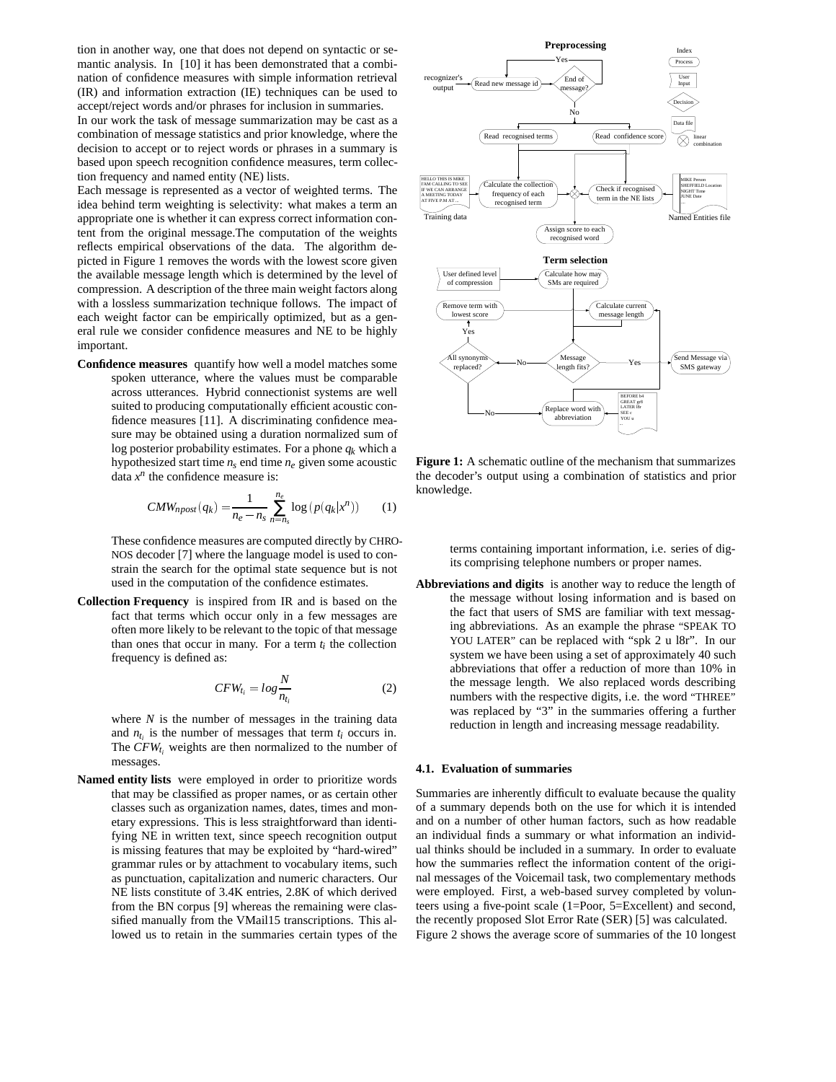tion in another way, one that does not depend on syntactic or semantic analysis. In [10] it has been demonstrated that a combination of confidence measures with simple information retrieval (IR) and information extraction (IE) techniques can be used to accept/reject words and/or phrases for inclusion in summaries.

In our work the task of message summarization may be cast as a combination of message statistics and prior knowledge, where the decision to accept or to reject words or phrases in a summary is based upon speech recognition confidence measures, term collection frequency and named entity (NE) lists.

Each message is represented as a vector of weighted terms. The idea behind term weighting is selectivity: what makes a term an appropriate one is whether it can express correct information content from the original message.The computation of the weights reflects empirical observations of the data. The algorithm depicted in Figure 1 removes the words with the lowest score given the available message length which is determined by the level of compression. A description of the three main weight factors along with a lossless summarization technique follows. The impact of each weight factor can be empirically optimized, but as a general rule we consider confidence measures and NE to be highly important.

**Confidence measures** quantify how well a model matches some spoken utterance, where the values must be comparable across utterances. Hybrid connectionist systems are well suited to producing computationally efficient acoustic confidence measures [11]. A discriminating confidence measure may be obtained using a duration normalized sum of log posterior probability estimates. For a phone *qk* which a hypothesized start time  $n_s$  end time  $n_e$  given some acoustic data  $x^n$  the confidence measure is:

$$
CMW_{npost}(q_k) = \frac{1}{n_e - n_s} \sum_{n=n_s}^{n_e} \log\left(p(q_k|x^n)\right) \tag{1}
$$

These confidence measures are computed directly by CHRO-NOS decoder [7] where the language model is used to constrain the search for the optimal state sequence but is not used in the computation of the confidence estimates.

**Collection Frequency** is inspired from IR and is based on the fact that terms which occur only in a few messages are often more likely to be relevant to the topic of that message than ones that occur in many. For a term  $t_i$  the collection frequency is defined as:

$$
CFW_{t_i} = \log \frac{N}{n_{t_i}} \tag{2}
$$

where  $N$  is the number of messages in the training data and  $n_t$  is the number of messages that term  $t_i$  occurs in. The  $CFW_t$  weights are then normalized to the number of messages.

**Named entity lists** were employed in order to prioritize words that may be classified as proper names, or as certain other classes such as organization names, dates, times and monetary expressions. This is less straightforward than identifying NE in written text, since speech recognition output is missing features that may be exploited by "hard-wired" grammar rules or by attachment to vocabulary items, such as punctuation, capitalization and numeric characters. Our NE lists constitute of 3.4K entries, 2.8K of which derived from the BN corpus [9] whereas the remaining were classified manually from the VMail15 transcriptions. This allowed us to retain in the summaries certain types of the



**Figure 1:** A schematic outline of the mechanism that summarizes the decoder's output using a combination of statistics and prior knowledge.

terms containing important information, i.e. series of digits comprising telephone numbers or proper names.

**Abbreviations and digits** is another way to reduce the length of the message without losing information and is based on the fact that users of SMS are familiar with text messaging abbreviations. As an example the phrase "SPEAK TO YOU LATER" can be replaced with "spk 2 u l8r". In our system we have been using a set of approximately 40 such abbreviations that offer a reduction of more than 10% in the message length. We also replaced words describing numbers with the respective digits, i.e. the word "THREE" was replaced by "3" in the summaries offering a further reduction in length and increasing message readability.

#### **4.1. Evaluation of summaries**

Summaries are inherently difficult to evaluate because the quality of a summary depends both on the use for which it is intended and on a number of other human factors, such as how readable an individual finds a summary or what information an individual thinks should be included in a summary. In order to evaluate how the summaries reflect the information content of the original messages of the Voicemail task, two complementary methods were employed. First, a web-based survey completed by volunteers using a five-point scale (1=Poor, 5=Excellent) and second, the recently proposed Slot Error Rate (SER) [5] was calculated. Figure 2 shows the average score of summaries of the 10 longest